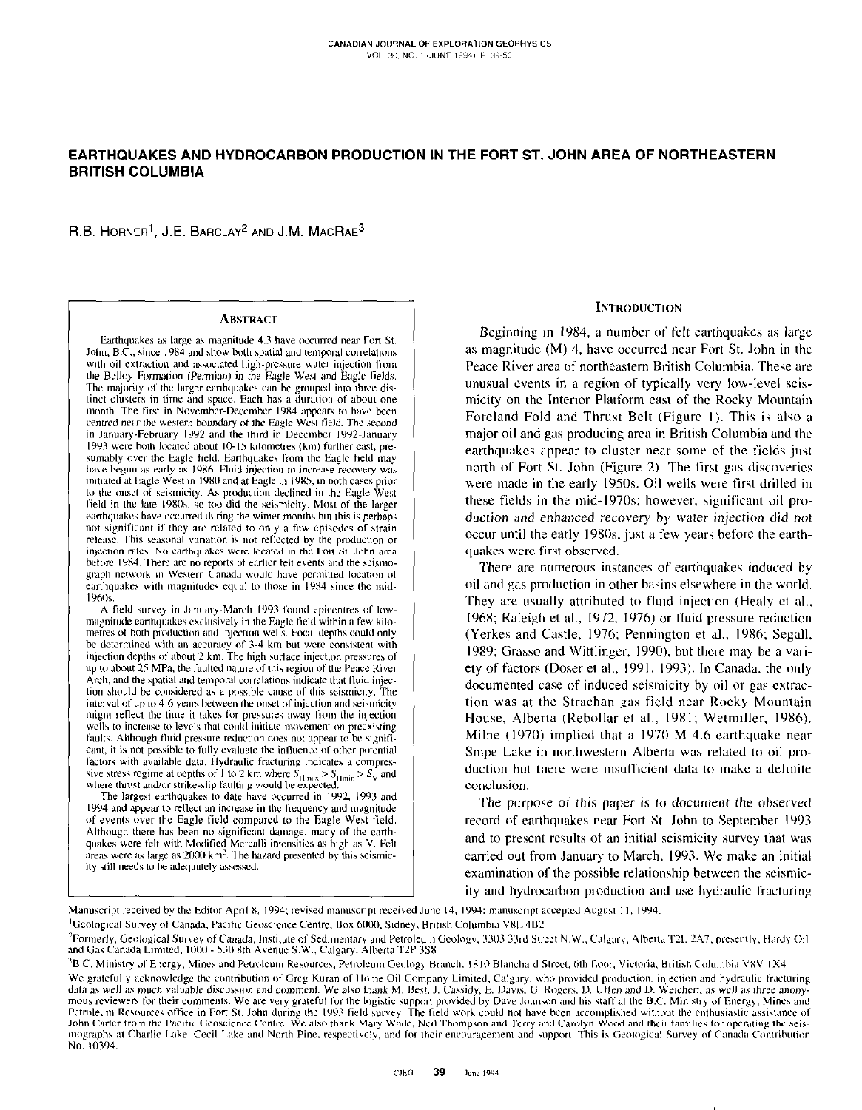# EARTHQUAKES AND HYDROCARBON PRODUCTION IN THE FORT ST. JOHN AREA OF NORTHEASTERN **BRITISH COLUMBIA**

R.B. HORNER<sup>1</sup>, J.E. BARCLAY<sup>2</sup> AND J.M. MACRAE<sup>3</sup>

#### **ABSTRACT**

Earthquakes as large as magnitude 4.3 have occurred near Fort St. John, B.C., since 1984 and show both spatial and temporal correlations with oil extraction and associated high-pressure water injection from the Belloy Formation (Permian) in the Eagle West and Eagle fields. The majority of the larger earthquakes can be grouped into three distinct clusters in time and space. Each has a duration of about one month. The first in November-December 1984 appears to have been centred near the western boundary of the Eagle West field. The second in January-February 1992 and the third in December 1992-January 1993 were both located about 10-15 kilometres (km) further east, presumably over the Eagle field. Earthquakes from the Eagle field may have begun as early as 1986. Fluid injection to increase recovery was initiated at Eagle West in 1980 and at Eagle in 1985, in both cases prior to the onset of seismicity. As production declined in the Eagle West field in the late 1980s, so too did the seismicity. Most of the larger earthquakes have occurred during the winter months but this is perhaps not significant if they are related to only a few episodes of strain release. This seasonal variation is not reflected by the production or injection rates. No carthquakes were located in the Fort St. John area before 1984. There are no reports of earlier felt events and the seismograph network in Western Canada would have permitted location of earthquakes with magnitudes equal to those in 1984 since the mid-1960s

A field survey in January-March 1993 found epicentres of lowmagnitude earthquakes exclusively in the Eagle field within a few kilometres of both production and injection wells. Focal depths could only be determined with an accuracy of 3-4 km but were consistent with<br>injection depths of about 2 km. The high surface injection pressures of up to about 25 MPa, the faulted nature of this region of the Peace River Arch, and the spatial and temporal correlations indicate that fluid injection should be considered as a possible cause of this seismicity. The interval of up to 4-6 years between the onset of injection and seismicity might reflect the time it takes for pressures away from the injection wells to increase to levels that could initiate movement on preexisting faults. Although fluid pressure reduction does not appear to be significant, it is not possible to fully evaluate the influence of other potential factors with available data. Hydraulic fracturing indicates a compressive stress regime at depths of 1 to 2 km where  $S_{\text{Hmax}} > S_{\text{Hmin}} > S_{\text{V}}$  and<br>where thrust and/or strike-slip faulting would be expected.

The largest earthquakes to date have occurred in 1992, 1993 and 1994 and appear to reflect an increase in the frequency and magnitude of events over the Eagle field compared to the Eagle West field. Although there has been no significant damage, many of the earthquakes were felt with Modified Mercalli intensities as high as V. Felt areas were as large as 2000 km<sup>2</sup>. The hazard presented by this seismicity still needs to be adequately assessed.

## **INTRODUCTION**

Beginning in 1984, a number of felt earthquakes as large as magnitude (M) 4, have occurred near Fort St. John in the Peace River area of northeastern British Columbia. These are unusual events in a region of typically very low-level seismicity on the Interior Platform east of the Rocky Mountain Foreland Fold and Thrust Belt (Figure 1). This is also a major oil and gas producing area in British Columbia and the earthquakes appear to cluster near some of the fields just north of Fort St. John (Figure 2). The first gas discoveries were made in the early 1950s. Oil wells were first drilled in these fields in the mid-1970s; however, significant oil production and enhanced recovery by water injection did not occur until the early 1980s, just a few years before the earthquakes were first observed.

There are numerous instances of earthquakes induced by oil and gas production in other basins elsewhere in the world. They are usually attributed to fluid injection (Healy et al., 1968; Raleigh et al., 1972, 1976) or fluid pressure reduction (Yerkes and Castle, 1976; Pennington et al., 1986; Segall, 1989; Grasso and Wittlinger, 1990), but there may be a variety of factors (Doser et al., 1991, 1993). In Canada, the only documented case of induced seismicity by oil or gas extraction was at the Strachan gas field near Rocky Mountain House, Alberta (Rebollar et al., 1981; Wetmiller, 1986). Milne (1970) implied that a 1970 M 4.6 earthquake near Snipe Lake in northwestern Alberta was related to oil production but there were insufficient data to make a definite conclusion.

The purpose of this paper is to document the observed record of earthquakes near Fort St. John to September 1993 and to present results of an initial seismicity survey that was carried out from January to March, 1993. We make an initial examination of the possible relationship between the seismicity and hydrocarbon production and use hydraulic fracturing

Manuscript received by the Editor April 8, 1994; revised manuscript received June 14, 1994; manuscript accepted August 11, 1994.

<sup>1</sup>Geological Survey of Canada, Pacific Geoscience Centre, Box 6000, Sidney, British Columbia V8L 4B2

<sup>2</sup>Formerly, Geological Survey of Canada, Institute of Sedimentary and Petroleum Geology, 3303 33rd Street N.W., Calgary, Alberta T2L 2A7; presently, Hardy Oil and Gas Canada Limited, 1000 - 530 8th Avenue S.W., Calgary, A

<sup>3</sup>B.C. Ministry of Energy, Mines and Petroleum Resources, Petroleum Geology Branch, 1810 Blanchard Street, 6th floor, Victoria, British Columbia V8V 1X4

We gratefully acknowledge the contribution of Greg Kuran of Home Oil Company Limited, Calgary, who provided production, injection and hydraulic fracturing we gratefully achieved the contribution of cite also thank Mary Males. Cassidy, E. Davis, G. Rogers, D. Uffen and D. Weichert, as well as here anony mous reviewers for their comments. We are very grateful for the logistic No. 10394.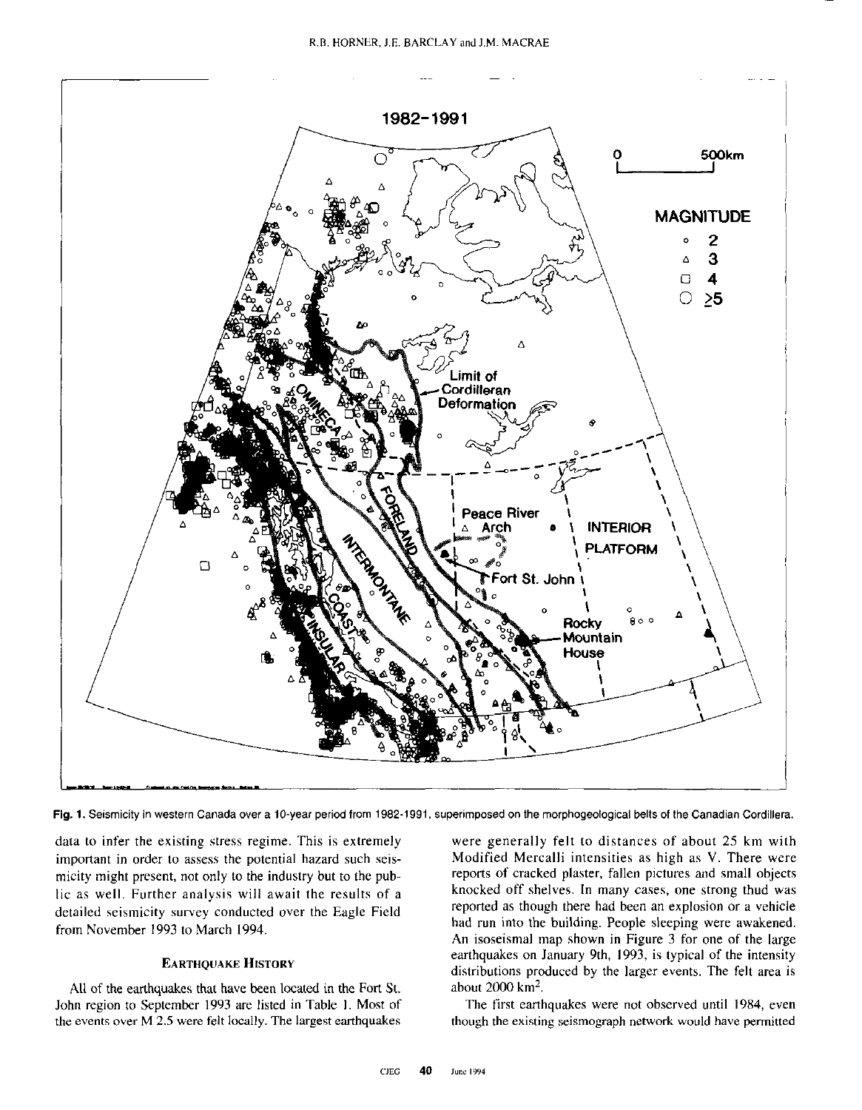

Fig. 1. Seismicity in western Canada cuer a IO-year period from 1982-1991, superimposed on the morphogeological belts of the Canadian Cordillera.

data to infer the existing stress regime. This is extremely important in order to assess the potential hazard such seismicity might present. not only to the industry but to the public as well. Further analysis will await the results of a detailed seismicity survey conducted over the Eagle Field from November 1993 to March 1994.

## **EARTHOUAKE HISTORY**

All of the earthquakes that have been located in the Fort St. John region to September 1993 are listed in Table I. Most of the events over M 2.5 were felt locally. The largest earthquakes

were generally felt to distances of about 25 km with Modified Mercalli intensities as high as V. There were reports of cracked plaster, fallen pictures and small objects knocked off shelves. In many cases, one strong thud was reported as though there had been an explosion or a vehicle had run into the building. People sleeping were awakened. An isoseismal map shown in Figure 3 for one of the large earthquakes on January 9th, 1993, is typical of the intensity distributions produced by the larger events. The felt area is about 2000 km2.

The first earthquakes were not observed until 1984, even though the existing seismograph network would have permitted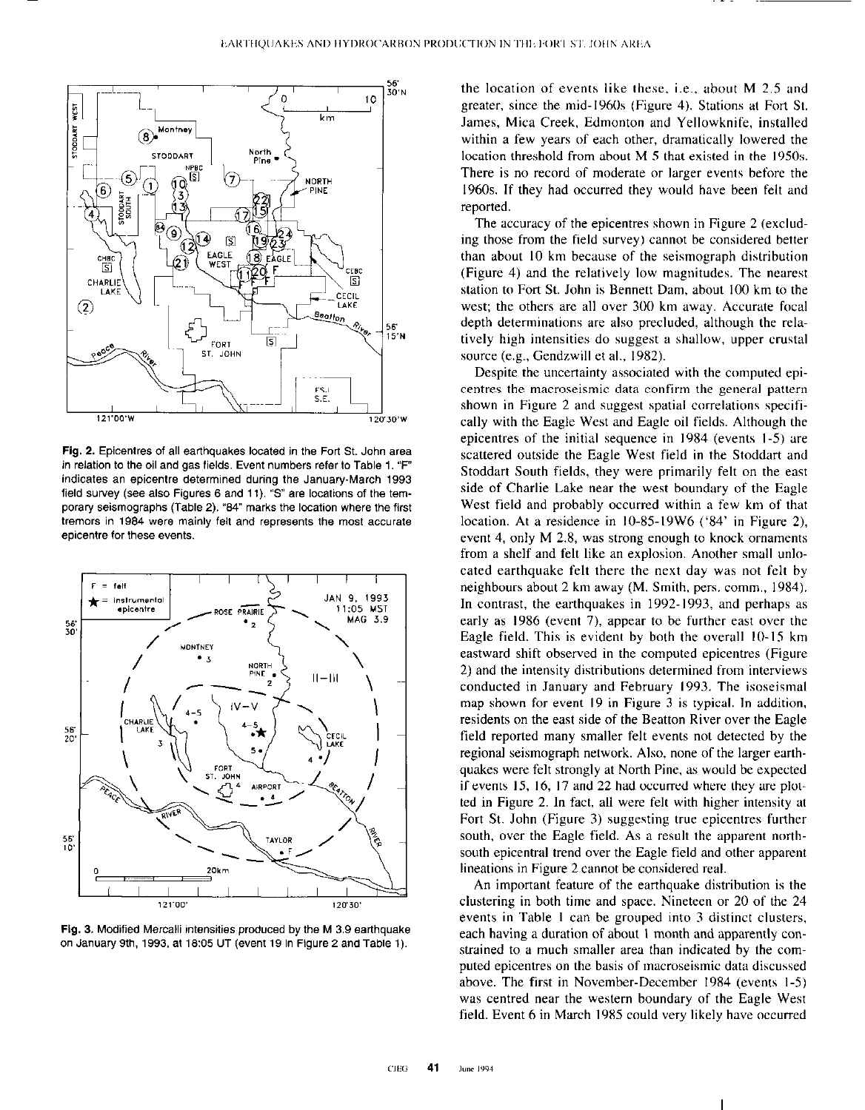

Fig. 2. Epicentres of all earthquakes located in the Fort St. John area in relation to the oil and gas fields. Event numbers refer to Table 1. "F" indicates an epicentre determined during the January-March 1993 field survey (see also Figures 6 and 11). "S" are locations of the temporary seismographs (Table 2). "84" marks the location where the first tremors in 1984 were mainly felt and represents the most accurate epicentre for these events.



Fig. 3. Modified Mercalli intensities produced by the M 3.9 earthquake on January 9th, 1993, at 18:05 UT (event 19 in Figure 2 and Table 1).

the location of events like these. i.e., about M 2.5 and greater, since the mid-1960s (Figure 4). Stations at Fort St. James, Mica Creek, Edmonton and Yellowknife, installed within a few years of each other, dramatically lowered the location threshold from about M 5 that existed in the 1950s. There is no record of moderate or larger events before the 1960s. If they had occurred they would have been felt and reported.

The accuracy of the epicentres shown in Figure 2 (excluding those from the field survey) cannot be considered better than about IO km because of the seismograph distribution (Figure 4) and the relatively low magnitudes. The nearest station to Fort St. John is Bennett Dam, about 100 km to the west; the others are all over 300 km away. Accurate focal depth determinations are also precluded, although the relatively high intensities do suggest a shallow, upper crustal source (e.g., Gendzwill et al., 1982).

Despite the uncertainty associated with the computed epicentres the macroseismic data confirm the general pattern shown in Figure 2 and suggest spatial correlations specifically with the Eagle West and Eagle oil fields. Although the epicentres of the initial sequence in 1984 (events l-5) are scattered outside the Eagle West field in the Stoddart and Stoddert South fields, they were primarily felt on the east side of Charlie Lake near the west boundary of the Eagle West field and probably occurred within a few km of that location. At a residence in 10-85-19W6 ('84' in Figure 2), event 4, only M 2.8, was strong enough to knock ornaments from a shelf and felt like an explosion. Another small unlocated earthquake felt there the next day was not felt by neighbours about 2 km away (M. Smith, pers. comm., 1984). In contrast, the earthquakes in 1992.1993, and perhaps as early as 1986 (event 7). appear to be further east over the Eagle field. This is evident by both the overall IO-IS km eastward shift observed in the computed epicentres (Figure 2) and the intensity distributions determined from interviews conducted in January and February 1993. The isoseismal map shown for event I9 in Figure 3 is typical. In addition. residents on the east side of the Beatton River over the Eagle field reported many smaller felt events not detected by the regional seismograph network. Also, none of the larger earthquakes were felt strongly at North Pine, as would be expected if events 15, 16, 17 and 22 had occurred where they are plotted in Figure 2. In fact, all were felt with higher intensity at Fort St. John (Figure 3) suggesting true epicentres further south, over the Eagle field. As a result the apparent northsouth epicentral trend over the Eagle field and other apparent lineations in Figure 2 cannot be considered real.

An important feature of the earthquake distribution is the clustering in both time and space. Nineteen or 20 of the 24 events in Table I can be grouped into 3 distinct clusters, each having a duration of about I month and apparently constrained to a much smaller area than indicated by the computed epicentres on the basis of macroseismic data discussed above. The first in November-December 1984 (events l-5) was centred near the western boundary of the Eagle West field. Event 6 in March 1985 could very likely have occurred

I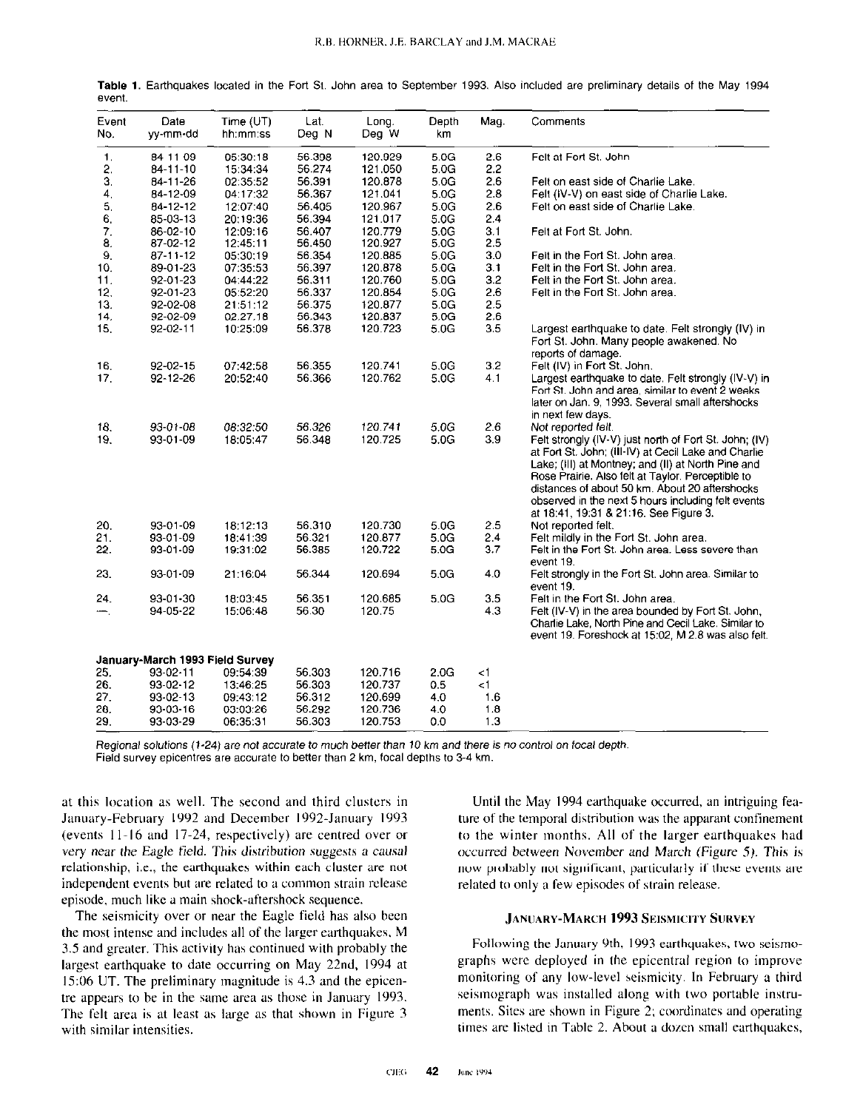| Event<br>No. | Date<br>yy-mm-dd                | Time $(UT)$<br>hh:mm:ss | Lat.<br>Deg N | Long.<br>Deg W | Depth<br>km. | Mag.     | Comments                                                                                                                                                                                                                                                                                                                                                                    |
|--------------|---------------------------------|-------------------------|---------------|----------------|--------------|----------|-----------------------------------------------------------------------------------------------------------------------------------------------------------------------------------------------------------------------------------------------------------------------------------------------------------------------------------------------------------------------------|
| 1.           | 84-11-09                        | 05:30:18                | 56.398        | 120.929        | 5.0G         | 2.6      | Felt at Fort St. John                                                                                                                                                                                                                                                                                                                                                       |
| 2.           | $84 - 11 - 10$                  | 15:34:34                | 56 274        | 121.050        | 5.0G         | 2.2      |                                                                                                                                                                                                                                                                                                                                                                             |
| 3.           | 84-11-26                        | 02:35:52                | 56.391        | 120.878        | 5.0G         | 2.6      | Felt on east side of Charlie Lake.                                                                                                                                                                                                                                                                                                                                          |
| 4.           | 84-12-09                        | 04:17:32                | 56.367        | 121.041        | 5.0G         | 2.8      | Felt (IV-V) on east side of Charlie Lake.                                                                                                                                                                                                                                                                                                                                   |
| 5,           | 84-12-12                        | 12:07:40                | 56.405        | 120.967        | 5.0G         | 2.6      | Felt on east side of Charlie Lake.                                                                                                                                                                                                                                                                                                                                          |
| 6.           | 85-03-13                        | 20:19:36                | 56 394        | 121.017        | 5 0 G        | 2.4      |                                                                                                                                                                                                                                                                                                                                                                             |
| 7.           | 86-02-10                        | 12:09:16                | 56.407        | 120.779        | 5.0G         | 3.1      | Felt at Fort St. John.                                                                                                                                                                                                                                                                                                                                                      |
| 8.           | 87-02-12                        | 12:45:11                | 56.450        | 120.927        | 5.0G         | 2.5      |                                                                                                                                                                                                                                                                                                                                                                             |
| 9.           | 87-11-12                        | 05:30:19                | 56.354        | 120.885        | 5.0G         | 3.0      | Felt in the Fort St. John area.                                                                                                                                                                                                                                                                                                                                             |
| 10.          | 89-01-23                        | 07:35:53                | 56.397        | 120.878        | 5.0G         | 3.1      | Felt in the Fort St. John area.                                                                                                                                                                                                                                                                                                                                             |
| 11.          | 92-01-23                        | 04:44:22                | 56.311        | 120.760        | 5.0G         | 3.2      | Felt in the Fort St. John area.                                                                                                                                                                                                                                                                                                                                             |
| 12.          | 92-01-23                        | 05:52:20                | 56.337        | 120.854        | 5.0G         | 2.6      | Felt in the Fort St. John area.                                                                                                                                                                                                                                                                                                                                             |
| 13.          | 92-02-08                        | 21:51:12                | 56.375        | 120.877        | 5.0G         | 2.5      |                                                                                                                                                                                                                                                                                                                                                                             |
| 14.          | 92-02-09                        | 02:27:18                | 56.343        | 120.837        | 5.0G         | 2.6      |                                                                                                                                                                                                                                                                                                                                                                             |
| 15.          | 92-02-11                        | 10:25:09                | 56.378        | 120.723        | 5.0G         | 3.5      | Largest earthquake to date. Felt strongly (IV) in<br>Fort St. John. Many people awakened. No<br>reports of damage.                                                                                                                                                                                                                                                          |
| 16.          | 92-02-15                        | 07:42:58                | 56.355        | 120.741        | 5.0G         | 3.2      | Felt (IV) in Fort St. John.                                                                                                                                                                                                                                                                                                                                                 |
| 17.          | 92-12-26                        | 20:52:40                | 56.366        | 120.762        | 5.0G         | 4.1      | Largest earthquake to date. Felt strongly (IV-V) in                                                                                                                                                                                                                                                                                                                         |
|              |                                 |                         |               |                |              |          | Fort St. John and area, similar to event 2 weeks<br>later on Jan. 9, 1993. Several small aftershocks<br>in next few days.                                                                                                                                                                                                                                                   |
| 18.          | 93-01-08                        | 08:32:50                | 56 326        | 120.741        | 5.0G         | 2.6      | Not reported felt.                                                                                                                                                                                                                                                                                                                                                          |
| 19.          | 93-01-09                        | 18:05:47                | 56.348        | 120.725        | 5.0G         | 3.9      | Felt strongly (IV-V) just north of Fort St. John; (IV)<br>at Fort St. John; (III-IV) at Cecil Lake and Charlie<br>Lake; (III) at Montney; and (II) at North Pine and<br>Rose Prairie. Also felt at Taylor. Perceptible to<br>distances of about 50 km. About 20 aftershocks<br>observed in the next 5 hours including felt events<br>at 18:41, 19:31 & 21:16. See Figure 3. |
| 20.          | 93-01-09                        | 18:12:13                | 56.310        | 120.730        | 5.0G         | 2.5      | Not reported felt.                                                                                                                                                                                                                                                                                                                                                          |
| 21.          | 93-01-09                        | 18:41:39                | 56.321        | 120.877        | 5.0G         | 2.4      | Felt mildly in the Fort St. John area.                                                                                                                                                                                                                                                                                                                                      |
| 22.          | 93-01-09                        | 19:31:02                | 56 385        | 120.722        | 5.0G         | 3.7      | Felt in the Fort St. John area. Less severe than<br>event 19.                                                                                                                                                                                                                                                                                                               |
| 23.          | 93-01-09                        | 21:16:04                | 56.344        | 120.694        | 5.0G         | 4.0      | Felt strongly in the Fort St. John area. Similar to<br>event 19.                                                                                                                                                                                                                                                                                                            |
| 24.          | 93-01-30                        | 18:03:45                | 56.351        | 120.685        | 5.0G         | 3.5      | Felt in the Fort St. John area.                                                                                                                                                                                                                                                                                                                                             |
| ∽.           | 94-05-22                        | 15:06:48                | 56.30         | 120.75         |              | 4,3      | Felt (IV-V) in the area bounded by Fort St. John,<br>Charlie Lake, North Pine and Cecil Lake. Similar to<br>event 19. Foreshock at 15.02, M 2.8 was also felt.                                                                                                                                                                                                              |
|              | January-March 1993 Field Survey |                         |               |                |              |          |                                                                                                                                                                                                                                                                                                                                                                             |
| 25.          | 93-02-11                        | 09:54:39                | 56 303        | 120.716        | 2.0G         | ا>       |                                                                                                                                                                                                                                                                                                                                                                             |
| 26.          | 93-02-12                        | 13:46:25                | 56 303        | 120.737        | 0.5          | $\leq$ 1 |                                                                                                                                                                                                                                                                                                                                                                             |
| 27.          | 93-02-13                        | 09:43:12                | 56.312        | 120.699        | 4.0          | 1.6      |                                                                                                                                                                                                                                                                                                                                                                             |
| 29.          | 93-03-16                        | 03:03:26                | 56 29 2       | 120.736        | 4.0          | 1.8      |                                                                                                                                                                                                                                                                                                                                                                             |
| 29.          | 93-03-29                        | 06:35:31                | 56.303        | 120.753        | 0.0          | 1.3      |                                                                                                                                                                                                                                                                                                                                                                             |

Table 1. Earthquakes located in the Fort St. John area to September 1993. Also included are preliminary details of the May 1994 event.

Regional solutions (1-24) are not accurate to much better than 10 km and there is no control on focal depth. Field survey epicentres are accurate to better than 2 km, focal depths to 3-4 km.

at this location as well. The second and third clusters in January-February 1992 and December 1992-January 1993 (events 11-16 and 17-24, respectively) are centred over or very near the Eagle field. This distribution suggests a causal relationship, i.e., the earthquakes within each cluster are not independent events but are related to a common strain release episode, much like a main shock-aftershock sequence.

The seismicity over or near the Eagle field has also been the most intense and includes all of the larger earthquakes, M 3.5 and greater. This activity has continued with probably the largest earthquake to date occurring on May 22nd, 1994 at 15:06 UT. The preliminary magnitude is 4.3 and the epicentre appears to be in the same area as those in January 1993. The felt area is at least as large as that shown in Figure 3 with similar intensities.

Until the May 1994 earthquake occurred, an intriguing feature of the temporal distribution was the apparant confinement to the winter months. All of the larger earthquakes had occurred between November and March (Figure 5). This is now probably not significant, particularly if these events are related to only a few episodes of strain release.

## **JANUARY-MARCH 1993 SEISMICITY SURVEY**

Following the January 9th, 1993 earthquakes, two seismographs were deployed in the epicentral region to improve monitoring of any low-level seismicity. In February a third seismograph was installed along with two portable instruments. Sites are shown in Figure 2; coordinates and operating times are listed in Table 2. About a dozen small earthquakes,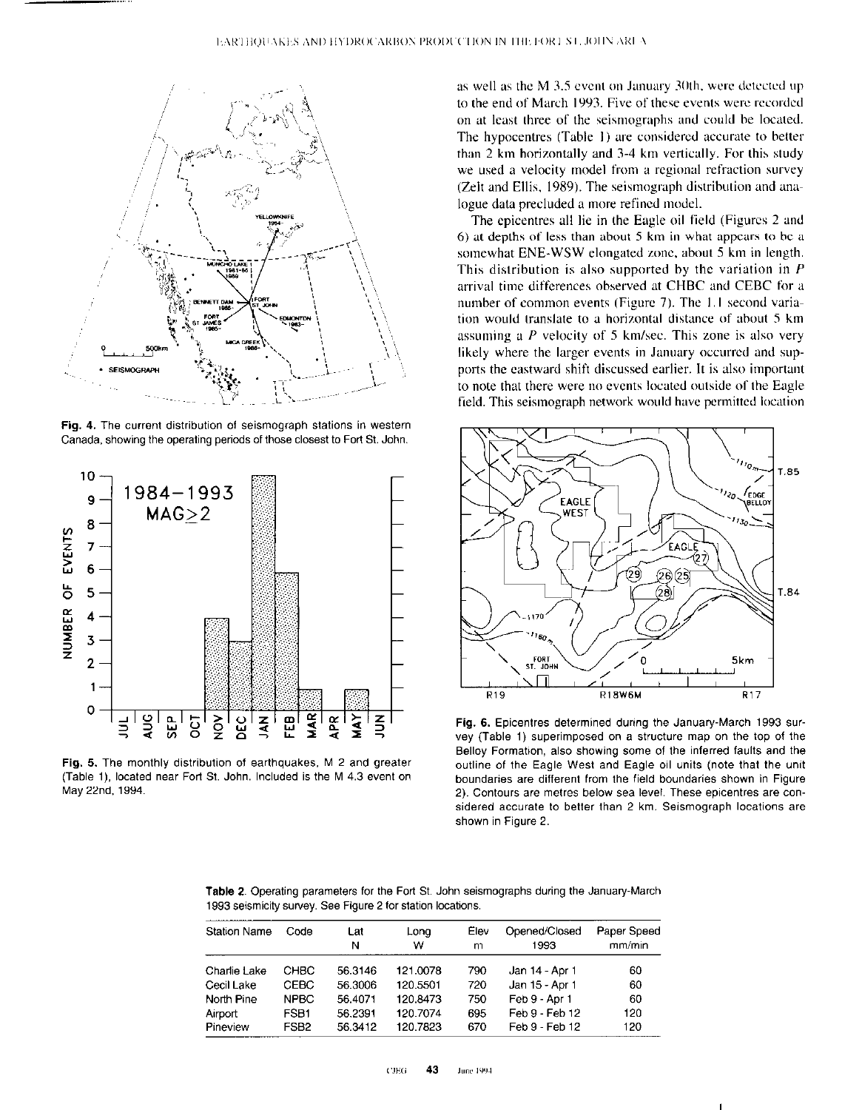

Fig. 4. The current distribution of seismograph stations in western Canada, showing the operating periods of those closest to Fort St. John.



Fig. 6. The monthly distribution of earthquakes, M 2 and greater (Table I), located near Forl St. John. Included is the M 4.3 event on May 22nd, 1994.

as well as the M 3.5 event on January 30th, were detected up to the end of March 1993. Five of these events were recorded on at least three of the seismographs and could he located. The hypocentres (Table 1) are considered accurate to better than 2 km horizontally and 3-4 km vertically. For this study we used a velocity model from a regional refraction survey (Zelt and Ellis, 1989). The seismograph distribution and analogue data precluded a more refined model.

The epicentres all lie in the Eagle oil field (Figures 2 and 6) at depths of less than about  $5 \text{ km}$  in what appears to be a somewhat ENE-WSW elongated zone, about 5 km in length. This distribution is also supported by the variation in <sup>P</sup> arrival time differences observed at CHBC and CEBC for a number of common events (Figure 7). The 1.1 second variation would translate to a horizontal distance of about 5 km assuming a  $P$  velocity of 5 km/sec. This zone is also very likely where the larger events in January occurred and supports the eastward shift discussed earlier. It is also important to note that there were no events located outside of the Eagle field. This seismograph network would have permitted location



Fig. 6. Epicentres determined during the January-March 1993 survey (Table 1) superimposed on a structure map on the top of the Selloy Formation, also showing some of the inferred faults and the outline of the Eagle West and Eagle oil units (note that the unit boundaries are different from the field boundaries shown in Figure 2). Contours are metres below sea level. These epicentres are considered accurate to better than 2 km. Seismograph locations are shown in Figure 2.

I

| <b>Table 2.</b> Operating parameters for the Fort St. John seismographs during the January-March |  |
|--------------------------------------------------------------------------------------------------|--|
| 1993 seismicity survey. See Figure 2 for station locations.                                      |  |

| <b>Station Name</b> | Code             | Lat<br>N | Long<br>w | Elev<br>m | Opened/Closed<br>1993 | Paper Speed<br>mm/min |
|---------------------|------------------|----------|-----------|-----------|-----------------------|-----------------------|
|                     |                  |          |           |           |                       |                       |
| Charlie Lake        | CHBC             | 56.3146  | 121.0078  | 790       | Jan 14 - Apr 1        | 60                    |
| Cecil Lake          | <b>CEBC</b>      | 56.3006  | 120.5501  | 720       | Jan 15 - Apr 1        | 60                    |
| North Pine          | <b>NPBC</b>      | 56.4071  | 120.8473  | 750       | Feb 9 - Apr 1         | 60                    |
| Airport             | FSB <sub>1</sub> | 56.2391  | 120.7074  | 695       | Feb 9 - Feb 12        | 120                   |
| Pineview            | FSB <sub>2</sub> | 56.3412  | 120.7823  | 670       | Feb 9 - Feb 12        | 120                   |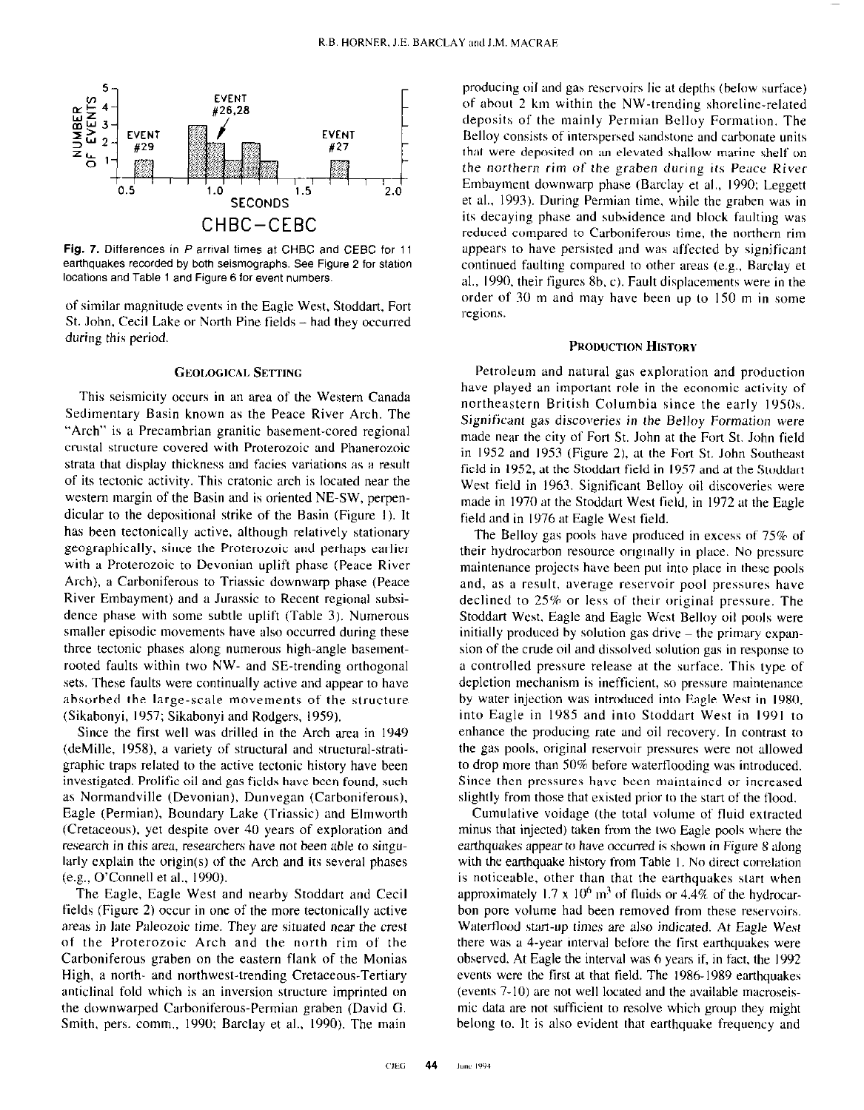

Fig. 7. Differences in P arrival times at CHBC and CEBC for 11 earthquakes recorded by both seismographs. See Figure 2 for station locations and Table 1 and Figure 6 for event numbers.

of similar magnitude events in the Eagle West, Stoddart, Fort St. John, Cecil Lake or North Pine fields-had they occurred during this period.

### GEOLOGICAL SETTING

This seismicity occurs in an area of the Western Canada Sedimentary Basin known as the Peace River Arch. The "Arch" is a Precambrian granitic basement-cored regional crustal structure covered with Proterozoic and Phanerozoic strata that display thickness and facies variations as a result of its tectonic activity. This cratonic arch is located near the western margin of the Basin and is oriented NE-SW, perpendicular to the depositional strike of the Basin (Figure I). It has been tectonically active, although relatively stationary geographically, since the Proterozoic and perhaps earlier with a Proterozoic to Devonian uplift phase (Peace River Arch), a Carboniferous to Triassic downwarp phase (Peace River Emhayment) and a Jurassic to Recent regional suhsidence phase with some subtle uplift (Table 3). Numerous smaller episodic movements have also occurred during these three tectonic phases along numerous high-angle hasementrooted faults within two NW- and SE-trending orthogonal sets. These faults were continually active and appear to have absorbed the large-scale movements of the structure (Sikahonyi, 1957; Sikahonyi and Rodgers, 1959).

Since the first well was drilled in the Arch area in 1949 (deMille, 1958), a variety of structural and structural-stratigraphic traps related to the active tectonic history have been investigated. Prolific oil and gas fields have been found, such as Normandville (Devonian), Dunvegan (Carhoniferous), Eagle (Permian), Boundary Lake (Triassic) and Elmworth (Cretaceous), yet despite over 40 years of exploration and research in this area, researchers have not been able to singularly explain the origin(s) of the Arch and its several phases (e.g., O'Connell et al., 1990).

The Eagle, Eagle West and nearby Stoddart and Cecil fields (Figure 2) occur in one of the more tectonically active areas in late Paleozoic time. They are situated near the crest of the Proterozoic Arch and the north rim of the Carboniferous graben on the eastern flank of the Monias High, a north- and northwest-trending Cretaceous-Tertiary anticlinal fold which is an inversion structure imprinted on the downwarped Carboniferous-Permian graben (David G. Smith, pers. comm., 1990; Barclay et al., 1990). The main

producing oil and gas reservoirs lie at depths (below surface) of about 2 km within the NW-trending shoreline-related deposits of the mainly Permian Belloy Formation. The Belloy consists of interspersed sandstone and carbonate units that were deposited on an elevated shallow marine shelf on the northern rim of the graben during its Peace River Embayment downwarp phase (Barclay et al., 1990; Leggett et al., 1993). During Permian time. while the grahen was in its decaying phase and suhbidence and block faulting was reduced compared to Carboniferous time, the northern rim appears to have persisted and was affected by significant continued faulting compared to other areas (e.g., Barclay et al., 1990, their figures 8b, c). Fault displacements were in the order of 30 m and may have been up to IS0 m in some regions.

#### PRODUCTION HISTORY

Petroleum and natural gas exploration and production have played an important role in the economic activity of northeastern British Columbia since the early 1950s. Significant gas discoveries in the Belloy Formation were made near the city of Fort St. John at the Fort St. John field in 1952 and 1953 (Figure 2). at the Fort St. John Southeast field in 1952, at the Stoddart field in 1957 and at the Stoddart West field in 1963. Significant Belloy oil discoveries were made in 1970 at the Stoddert West field, in 1972 at the Eagle field and in 1976 at Eagle West field.

The Belloy gas pools have produced in excess of 75% of their hydrocarbon resource originally in place. No pressure maintenance projects have been put into place in there pools and, as a result, average reservoir pool pressures have declined to 25% or less of their original pressure. The Stoddart West. Eagle and Eagle West Belloy oil pools were initially produced by solution gas drive  $-$  the primary expansion of the crude oil and dissolved solution gas in response to a controlled pressure release at the surface. This type of depletion mechanism is inefficient, so pressure maintenance by water injection was introduced into Eagle West in 1980, into Eagle in 1985 and into Stoddart West in 1991 to enhance the producing rate and oil recovery. In contrast to the gas pools, original reservoir pressures were not allowed to drop more than 50% before waterflooding was introduced. Since then pressures have been maintained or increased slightly from those that existed prior to the start of the flood.

Cumulative voidage (the total volume of fluid extracted minus that injected) taken from the two Eagle pools where the earthquakes appear to have occurred is shown in Figure 8 along with the earthquake history from Table 1. No direct correlation is noticeable, other than that the earthquakes start when approximately  $1.7 \times 10^6$  m<sup>3</sup> of fluids or  $4.4\%$  of the hydrocarbon pore volume had been removed from these reservoirs. Waterflood start-up times are also indicated. At Eagle West there was a 4-year interval before the first earthquakes were observed. At Eagle the interval was 6 years if, in fact, the 1992 events were the first at that field. The 1986-1989 earthquakes (events  $7-10$ ) are not well located and the available macroseismic data are not sufficient to resolve which group they might belong to. It is also evident that earthquake frequency and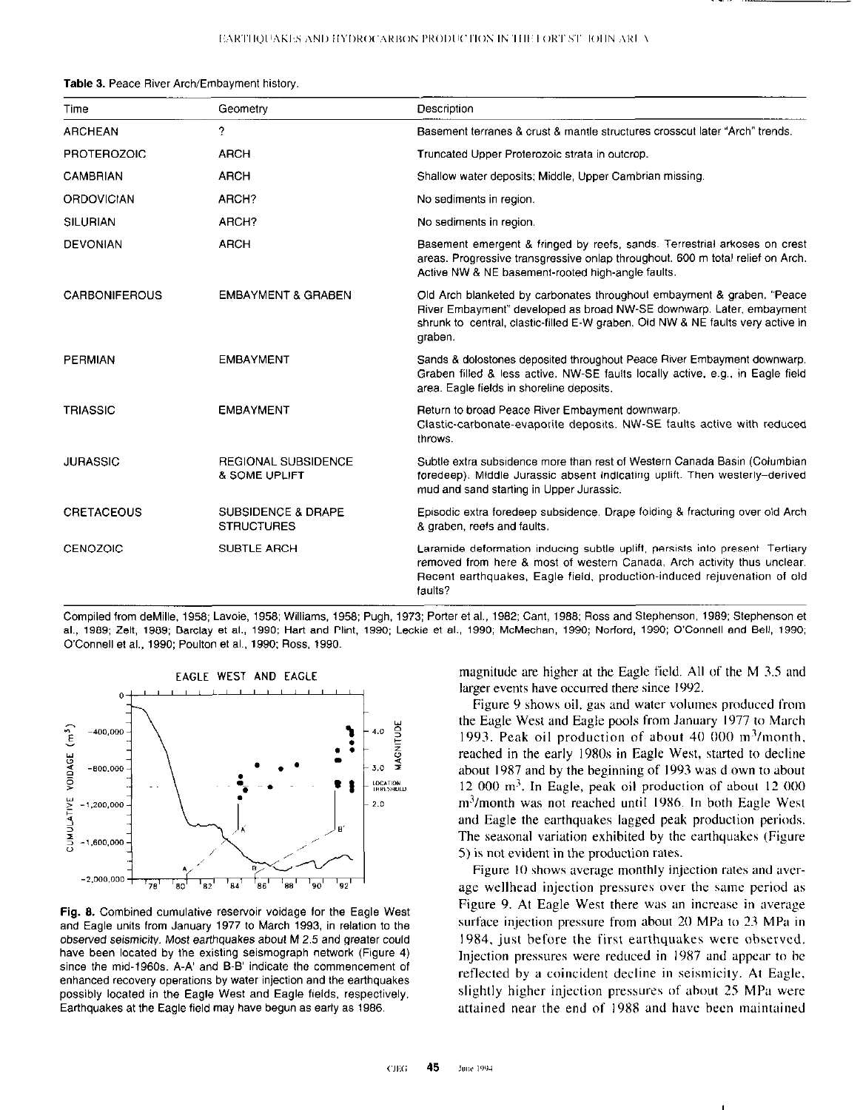Table 3. Peace River Arch/Embayment history.

| Time                 | Geometry                                           | Description                                                                                                                                                                                                                                   |
|----------------------|----------------------------------------------------|-----------------------------------------------------------------------------------------------------------------------------------------------------------------------------------------------------------------------------------------------|
| <b>ARCHEAN</b>       | ?                                                  | Basement terranes & crust & mantle structures crosscut later "Arch" trends.                                                                                                                                                                   |
| <b>PROTEROZOIC</b>   | <b>ARCH</b>                                        | Truncated Upper Proterozoic strata in outcrop.                                                                                                                                                                                                |
| <b>CAMBRIAN</b>      | <b>ARCH</b>                                        | Shallow water deposits; Middle, Upper Cambrian missing.                                                                                                                                                                                       |
| <b>ORDOVICIAN</b>    | ARCH?                                              | No sediments in region.                                                                                                                                                                                                                       |
| <b>SILURIAN</b>      | ARCH?                                              | No sediments in region.                                                                                                                                                                                                                       |
| <b>DEVONIAN</b>      | <b>ARCH</b>                                        | Basement emergent & fringed by reefs, sands. Terrestrial arkoses on crest<br>areas. Progressive transgressive onlap throughout. 600 m total relief on Arch.<br>Active NW & NE basement-rooted high-angle faults.                              |
| <b>CARBONIFEROUS</b> | <b>EMBAYMENT &amp; GRABEN</b>                      | Old Arch blanketed by carbonates throughout embayment & graben. "Peace<br>River Embayment" developed as broad NW-SE downwarp. Later, embayment<br>shrunk to central, clastic-filled E-W graben. Old NW & NE faults very active in<br>graben.  |
| <b>PERMIAN</b>       | <b>EMBAYMENT</b>                                   | Sands & dolostones deposited throughout Peace River Embayment downwarp.<br>Graben filled & less active. NW-SE faults locally active, e.g., in Eagle field<br>area. Eagle fields in shoreline deposits.                                        |
| <b>TRIASSIC</b>      | <b>EMBAYMENT</b>                                   | Return to broad Peace River Embayment downwarp.<br>Clastic-carbonate-evaporite deposits. NW-SE faults active with reduced<br>throws.                                                                                                          |
| <b>JURASSIC</b>      | <b>REGIONAL SUBSIDENCE</b><br>& SOME UPLIFT        | Subtle extra subsidence more than rest of Western Canada Basin (Columbian<br>foredeep). Middle Jurassic absent indicating uplift. Then westerly-derived<br>mud and sand starting in Upper Jurassic.                                           |
| <b>CRETACEOUS</b>    | <b>SUBSIDENCE &amp; DRAPE</b><br><b>STRUCTURES</b> | Episodic extra foredeep subsidence. Drape folding & fracturing over old Arch<br>& graben, reefs and faults.                                                                                                                                   |
| CENOZOIC             | <b>SUBTLE ARCH</b>                                 | Laramide deformation inducing subtle uplift, persists into present. Tertiary<br>removed from here & most of western Canada, Arch activity thus unclear.<br>Recent earthquakes, Eagle field, production-induced rejuvenation of old<br>faults? |

Compiled from deMille, 1958; Lavoie, 1958; Williams, 1958; Pugh, 1973; Porter et al., 1982; Cant, 1988; Ross and Stephenson, 1989; Stephenson et al.. 1969: Zelt. 1969: Barclav et al.. 1990: Hart and Plint. 1990; Leckie et al., 1990; McMechan. 1990; Norford, 1990; O'Connell and Bell, 1990; O'Connell et al., 1990; Poulton et al., 1990; Ross, 1990.



Fig. 6. Combined cumulative reservoir voidage for the Eagle West and Eaale units from Januarv 1977 to March 1993. in relation to the observed seismicity. Most earthquakes about M 2.5 and greater could have been located by the existing seismograph network (Figure 4) since the mid-1960s. A-A' and B-B' indicate the commencement of enhanced recovery operations by water injection and the earthquakes possibly located in the Eagle West and Eagle fields, respectively. Earthquakes at the Eagle field may have begun as early as 1986. The attained near the end of 1988 and have been maintained

magnitude are higher at the Eagle field. All of the M 3.5 and larger events have occurred there since 1992.

Figure 9 shows oil, gas and water volumes produced from the Eagle West and Eagle pools from January 1977 to March 1993. Peak oil production of about  $40\,000\,\mathrm{m}^3/\mathrm{month}$ , reached in the early 1980s in Eagle West, started to decline about 1987 and by the beginning of 1993 was d own to about 12 000 m?. In Eagle, peak oil production of about I2 000 m<sup>3</sup>/month was not reached until 1986. In both Eagle West and Eagle the earthquakes lagged peak production periods. The seasonal variation exhibited by the earthquakes (Figure 5) is not evident in the production rates.

Figure IO shows average monthly injection rates and average wellhead injection pressures over the same period as Figure 9. At Eagle West there was an increase in average surface injection pressure from about 20 MPa to 23 MPa in 1984, just before the first earthquakes were ohserved. Injection pressures were reduced in 1987 and appear to he reflected by a coincident decline in seismicity. At Eagle, slightly higher injection pressures of about 25 MPa were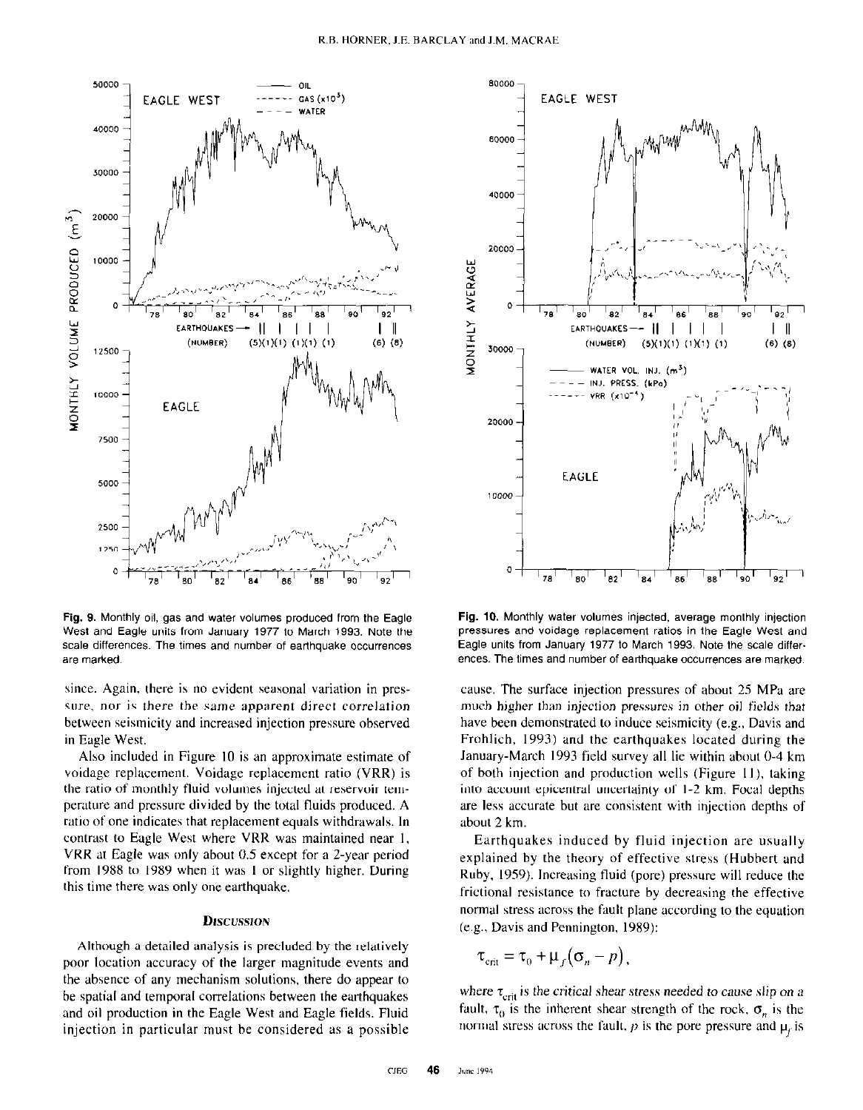

Fig. 9. Monthly oil, gas and water volumes produced from the Eagle West and Eagle units from January 1977 to March 1993. Note the scale differences. The times and number of earthquake occurrences are marked.

since. Again, there is no evident seasonal variation in pressure, nor is there the same apparent direct correlation between seismicity and increased injection pressure observed in Engle West.

Also included in Figure IO is an approximate estimate of voidage replacement. Voidage replacement ratio (VRR) is the ratio of monthly fluid volumes injected at reservoir temperature and pressure divided by the total fluids produced. A ratio of one indicates that replacement equals withdrawals. In contrast to Eagle West where VRR was maintained near I, VRR at Eagle was only about 0.5 except for a Z-year period from 19X8 to 1989 when it was I or slightly higher. During this time there was only one earthquake.

### DISCUSSION

Although a detailed analysis is precluded by the relatively poor location accuracy of the larger magnitude events and the absence of any mechanism solutions, there do appear to be spatial and temporal correlations between the earthquakes and oil production in the Eagle West and Eagle fields. Fluid injection in particular must be considered as a possible



Fig. 10. Monthly water volumes injected, average monthly injection pressures and voidage replacement ratios in the Eagle West and Eagle units from January 1977 to March 1993. Note the scale differences. The times and number of earthquake occurrences are marked.

cause. The surface injection pressures of about 25 MPa are much higher than injection pressures in other oil fields that have been demonstrated to induce seismicity (e.g., Davis and Frohlich, 1993) and the earthquakes located during the January-March 1993 field survey all lie within about O-4 km of both injection and production wells (Figure I I). taking into account epicentral uncertainty of I-2 km. Focal depths are less accurate but are consistent with injection depths of about 2 km.

Earthquakes induced by fluid injection are usually explained by the theory of effective stress (Hubbert and Ruby. 1959). Increasing fluid (pore) pressure will reduce the frictional resistance to fracture by decreasing the effective normal stress across the fault plane according to the equation (e.g., Davis and Pennington. 1989):

$$
\tau_{\text{crit}} = \tau_0 + \mu_f (\sigma_n - p),
$$

where  $\tau_{\text{crit}}$  is the critical shear stress needed to cause slip on a fault,  $\tau_0$  is the inherent shear strength of the rock.  $\sigma_n$  is the normal stress across the fault,  $p$  is the pore pressure and  $\mu_r$  is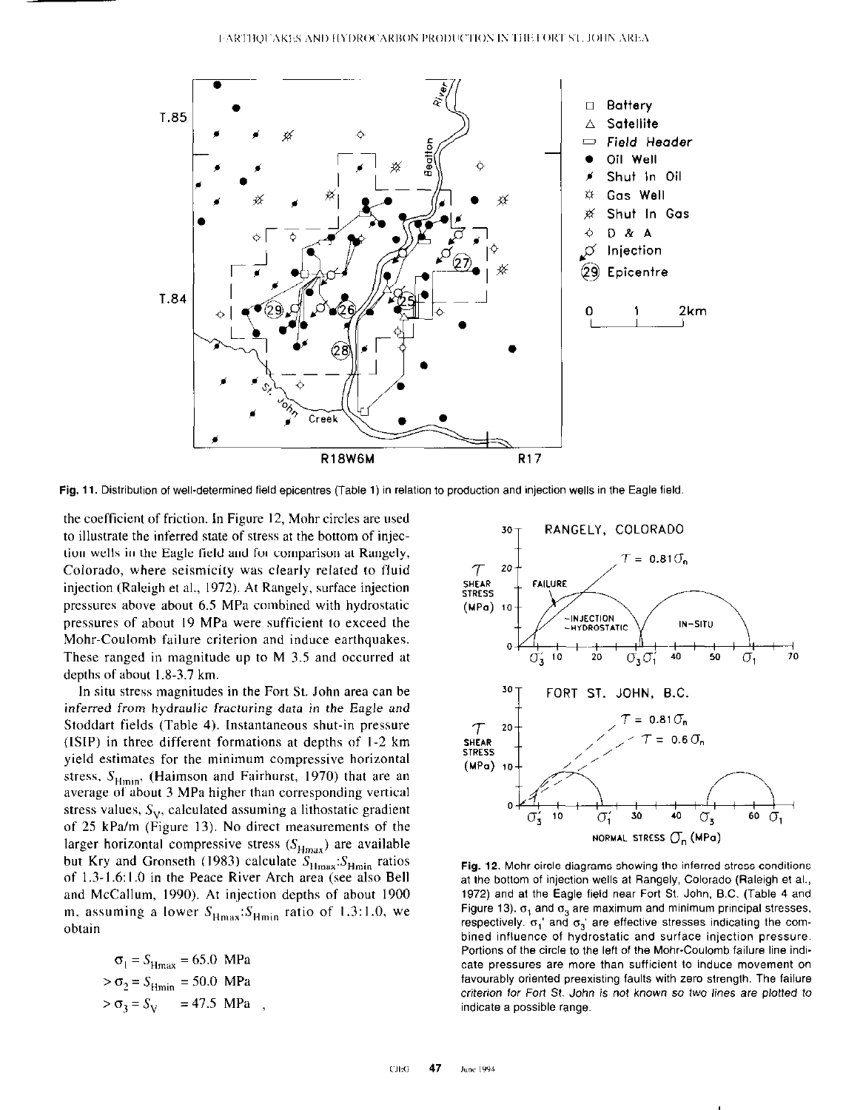

Fig. 11. Distribution of well-determined field epicentres (Table 1) in relation to production and injection wells in the Eagle field

the coefficient of friction. In Figure 12, Mohr circles are used to illustrate the inferred state of stress at the bottom of injection wells in the Eagle field and for comparison at Rangely, Colorado, where seismicity was clearly related to fluid injection (Raleigh et al., 1972). At Rangely, surface injection pressures above about 6.5 MPa combined with hydrostatic pressures of about 19 MPa were sufficient to exceed the Mohr-Coulomb failure criterion and induce earthquakes. These ranged in magnitude up to M 3.5 and occurred at depths of about  $1.8-3.7$  km.

In situ stress magnitudes in the Fort St. John area can be inferred from hydraulic fracturing data in the Eagle and Stoddart fields (Table 4). Instantaneous shut-in pressure (ISIP) in three different formations at depths of l-2 km yield estimates for the minimum compressive horizontal stress,  $S_{Hmin}$ , (Haimson and Fairhurst, 1970) that are an average of about 3 MPa higher than corresponding vertical stress values,  $S_V$ , calculated assuming a lithostatic gradient of 25 kPe/m (Figure 13). No direct measurements of the larger horizontal compressive stress  $(S_{Hmax})$  are available but Kry and Gronseth (1983) calculate  $S_{Hmax}$ :  $S_{Hmin}$  ratios of 1.3-1.6:1.0 in the Peace River Arch area (see also Bell and McCallum, 1990). At injection depths of about 1900 m. assuming a lower  $S_{Hmax}:S_{Hmin}$  ratio of 1.3:1.0, we obtain

$$
\sigma_1 = S_{\text{Hmax}} = 65.0 \text{ MPa}
$$
  
> 
$$
\sigma_2 = S_{\text{Hmin}} = 50.0 \text{ MPa}
$$
  
> 
$$
\sigma_3 = S_{\text{V}} = 47.5 \text{ MPa}
$$



Fig. 12. Mohr circle diagrams showing the inferred stress conditions at the bottom of injection wells at Rangely, Colorado (Raleigh et al., 1972) and at the Eagle field near Fort St. John. B.C. (Table 4 and Figure 13).  $\sigma_1$  and  $\sigma_2$  are maximum and minimum principal stresses, respectively.  $\sigma_1$ ' and  $\sigma_3$ ' are effective stresses indicating the combined influence of hydrostatic and surface injection pressure. Portions of the circle to the left of the Mohr-Coulomb failure line indicate pressures are more than sufficient to induce movement on favourably oriented preexisting faults with zero strength. The failure criterion for Fort St. John is not known so two lines are plotted to indicate a possible range.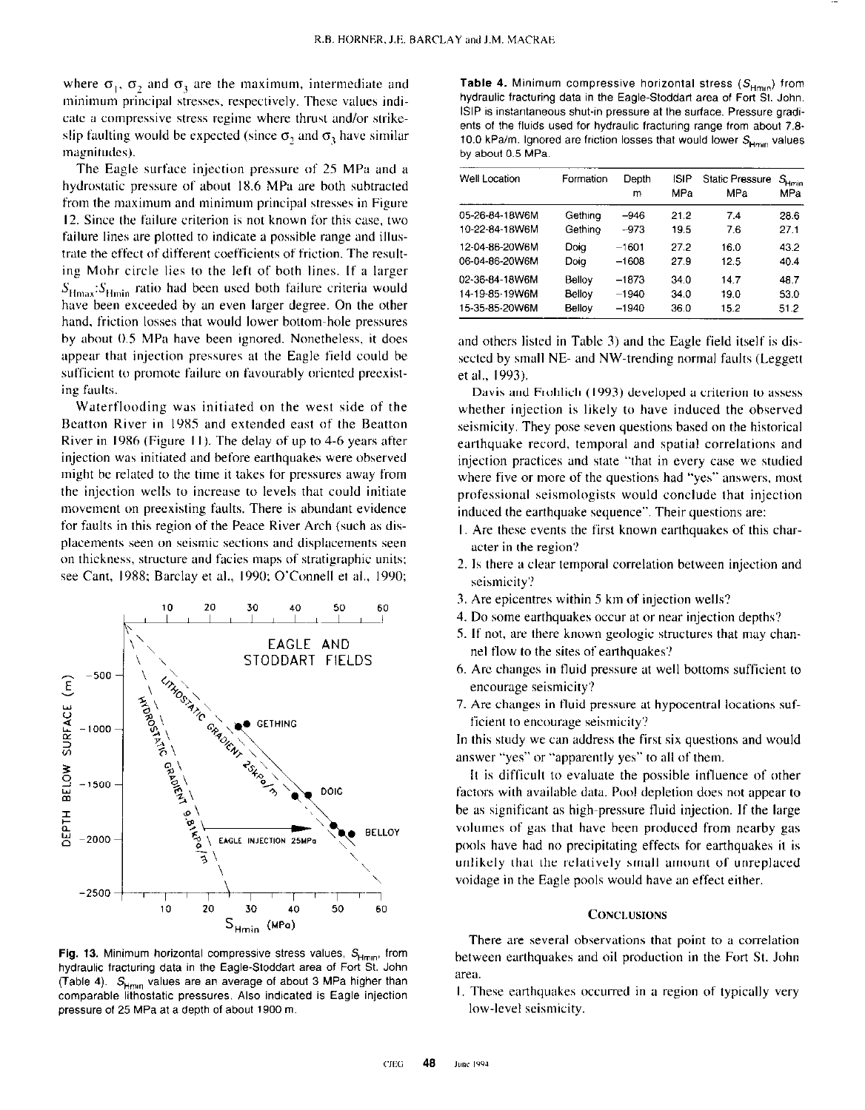where  $\sigma_1$ ,  $\sigma_2$  and  $\sigma_3$  are the maximum, intermediate and minimum principal stresses, respectively. These values indicate a compressive stress regime where thrust and/or strikeslip faulting would be expected (since  $\sigma_2$  and  $\sigma_3$  have similar magnitudes).

The Eagle surface injection pressure of 25 MPa and a hydrostatic pressure of about 18.6 MPa are both subtracted from the maximum and minimum principal stresses in Figure 12. Since the failure criterion is not known for this case, two failure lines are plotted to indicate a possible range and illustrate the effect of different coefficients of friction. The resulting Mohr circle lies to the left of both lines. If a larger  $S_{\text{Hmax}}$ : $S_{\text{Hmin}}$  ratio had been used both failure criteria would have been exceeded by an even larger degree. On the other hand, friction losses that would lower bottom-hole pressures by about 0.5 MPa have been ignored. Nonetheless, it does appear that injection pressures at the Eagle field could be sufficient to promote failure on favourably oriented preexisting faults.

Waterflooding was initiated on the west side of the Beatton River in 1985 and extended east of the Beatton River in 1986 (Figure 11). The delay of up to 4-6 years after injection was initiated and before earthquakes were observed might be related to the time it takes for pressures away from the injection wells to increase to levels that could initiate movement on preexisting faults. There is abundant evidence for faults in this region of the Peace River Arch (such as displacements seen on seismic sections and displucements seen on thickness, structure and facies maps of stratigraphic units: see Cant, 1988; Barclay et al., 1990; O'Connell et al., 1990;



Fig. 13. Minimum horizontal compressive stress values,  $S_{H_{min}}$ , from hydraulic fracturing data in the Eagle-Stoddart area of Fort St. John (Table 4).  $S_{H_{\text{HMM}}}$  values are an average of about 3 MPa higher than comparable lithostatic pressures. Also indicated is Eagle injection pressure of 25 MPa at a depth of about 1900 m.

Table 4. Minimum compressive horizontal stress  $(S_{Hmn})$  from hydraulic fracturing data in the Eagle-Stoddart area of Fort St. John. ISIP is instantaneous shut-in pressure at the surface. Pressure gradients of the fluids used for hydraulic fracturing range from about 7.8. 10.0 kPa/m. Ignored are friction losses that would lower  $S_{Hmn}$  values by about 0.5 MPa.

| Well Location   | Formation | Depth<br>m | ISIP<br>MPa | <b>Static Pressure</b><br>MPa | $S_{\text{Hmin}}$<br>MPa |
|-----------------|-----------|------------|-------------|-------------------------------|--------------------------|
| 05-26-84-18W6M  | Gething   | -946       | 21.2        | 7.4                           | 28.6                     |
| 10-22-84-18 V6M | Gethino   | $-973$     | 19.5        | 7.6                           | 27.1                     |
| 12-04-86-20W6M  | Doia      | $-1601$    | 27.2        | 16.0                          | 43.2                     |
| 06-04-86-20W6M  | Doig      | $-1608$    | 27.9        | 12.5                          | 40.4                     |
| 02-36-84-18W6M  | Belloy    | $-1873$    | 34.0        | 14.7                          | 48.7                     |
| 14-19-85-19W6M  | Bellov    | $-1940$    | 34.0        | 19.0                          | 53.0                     |
| 15-35-85-20W6M  | Bellov    | $-1940$    | 36.0        | 15.2                          | 51.2                     |

and others listed in Table 3) and the Eagle field itself is dissected by small NE- and NW-trending normal faults (Leggett et al., 1993).

Davis and Frohlich (1993) developed a criterion to assess whether injection is likely to have induced the ohserved seismicity. They pose seven questions based on the historical earthquake record, temporal and spatial correlations and injection practices and state "that in every case we studied where five or more of the questions had "yes" answers. most professional seismologists would conclude that injection induced the earthquake sequence". Their questions are:

- I. Are these events the first known earthquakes of this character in the region?
- 2. Is there a clear temporal correlation between injection and seismicity?
- 3. Are epicentres within 5 km of injection wells?
- 4. Do some earthquakes occur at or near injection depths?
- 5. If not, are there known geologic structures that may channel flow to the sites of eanhquakes?
- 6. Are changes in tluid pressure at well bottoms sufficient to encourage seismicity?
- 7. Are changes in tluid pressure at hypocentral locations sufficient to encourage seismicity?

In this study we can address the first six questions and would answer "yes" or "apparently yes" to all of them.

It is difficult to evaluate the possible influence of other factors with available data. Pool depletion does not appear to be as significant as high-pressure tluid injection. If the large volumes of gas that have heen produced from nearby gas pools have had no precipitating effects for earthquakes it is unlikely that the relatively small amount of unreplaced voidnge in the Eagle pools would have an effect either.

### **CONCLUSIONS**

There are several observations that point to a correlation between earthquakes and oil production in the Fort St. John area.

1. These earthquakes occurred in a region of typically very low-level seismicity.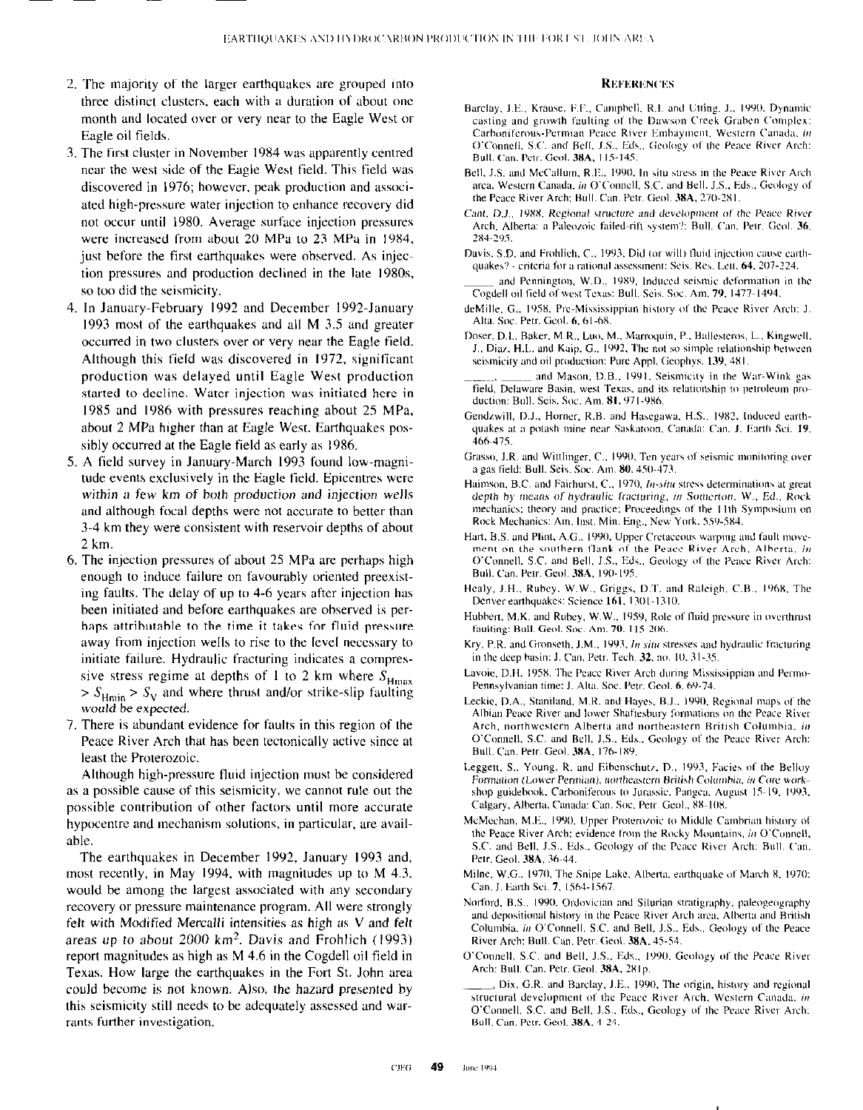- 2. The majority of the larger earthquakes are grouped into three distinct clusters, each with a duration of about one month and located over or very near to the Eagle West or Eagle oil fields.
- 3. The first cluster in November 1984 was apparently centred near the west side of the Eagle West field. This field was discovered in 1976; however. peak production and associated high-pressure water injection to enhance recovery did not occur until 1980. Average surface injection pressures were increased from about 20 MPa to 23 MPa in 1984, just before the first earthquakes were observed. As injection pressures and production declined in the late 1980s. so too did the seismicity.
- In January-February I992 and December 1992.January 1993 most of the earthquakes and all M 3.5 and greater occurred in two clusters over or very near the Eagle field. Although this field was discovered in 1972, significant production was delayed until Eagle West production started to decline. Water injection was initiated here in I985 and 1986 with pressures reaching about 25 MPa, about 2 MPa higher than at Eagle West. Earthquakes possibly occurred at the Eagle field as early as 1986.
- A field survey in January-March 1993 found low-magnitude events exclusively in the Eagle field. Epicentres were within a few km of both production and injection wells and although focal depths were not accurate to better than 3-4 km they were consistent with reservoir depths of about 2 km.
- The injection pressures of about 25 MPa are perhaps high enough to induce failure on favourably oriented preexisting faults. The delay of up to 4-6 years after injection has been initiated and before earthquakes are observed is perhaps attributable to the time it takes for fluid pressure away from injection wells to rise to the level necessary to initiate failure. Hydraulic fracturing indicates a compressive stress regime at depths of 1 to 2 km where  $S_{\text{Hmax}}$  $> S_{\text{Hmin}} > S_{\text{V}}$  and where thrust and/or strike-slip faulting would be expected.
- 7. There is abundant evidence for faults in this region of the Peace River Arch that has been tectonically active since at least the Proterozoic.

Although high-pressure fluid injection must be considered as a possible cause of this seismicity, we cannot rule out the possible contribution of other factors until more accurate hypocentre and mechanism solutions, in particular, are available.

The earthquakes in December 1992, January 1993 and, most recently, in May 1994, with magnitudes up to M 4.3. would he among the largest associated with any secondary recovery or pressure maintenance program. All were strongly felt with Modified Mercalli intensities as high as  $V$  and felt areas up to about 2000 km2. Davis and Frohlich (1993) report magnitudes as high as M 4.6 in the Cogdell oil field in Texas. How large the earthquakes in the Fort St. John area could become is not known. Also, the hazard presented by this seismicity still needs to be adequately assessed and warrants further investigation.

#### **REFERENCES**

- Barclay, J.E., Krause, F.F., Camphell, R.I. and Utting. J., 1990, Dynamic casting and growth faulting of the Dawson Creek Graben Complex: Carboniferous-Permian Peace River Embayment, Western Canada, in O'Connell, S.C. and Bell, J.S., Eds., Geology of the Peace River Arch: Bull. Can. Petr. Geol. 38A, 115-145.
- Bell, J.S. and McCallum, R.E., 1990. In situ stress in the Peace River Arch area, Western Canada, in O'Connell, S.C. and Bell, J.S., Eds., Geology of the Peace River Arch: Bull. Can. Petr. Geol. 38A, 270-281.
- Cant, D.J., 1988. Regional structure and development of the Peace River Arch, Alberta: a Paleozoic failed-rift system?: Bull, Can. Petr. Geol. 36, 2x4.2%
- Davis, S.D. and Frohlich, C., 1993, Did (or will) fluid injection cause earthquakes? - criteria for a rational assessment: Seis. Res. Lett. 64, 207-224.
- and Pennington, W.D., 1989, Induced seismic deformation in the Cogdell oil field of west Texas: Bull. Seis. Soc. Am. 79, 1477-1494.
- deMille, G., 1958. Pre-Mississippian history of the Peace River Arch: J. Alta. Soc. Petr. Geol. 6, 61-68.
- Doser, D.I., Baker, M.R., Luo, M., Marroquin, P., Ballesteros, L., Kingwell. J., Diaz, H.L. and Kaip, G., 1992, The not so simple relationship between seismicity and oil production: Pure Appl. Geophys. 139, 481.
- and Mason, D.B., 1991. Seismicity in the War-Wink gas field, Delaware Basin, west Texas, and its relationship to petroleum production: Bull. Seis. Soc. Am. 81, 971-986.
- Gendzwill, D.J., Horner, R.B. and Hasegawa, H.S., 1982, Induced earthquakes at a potash mine near Saskatoon, Canada: Can. J. Earth Sci. 19, 466~475.
- Grasso, J.R. and Wittlinger, C., 1990. Ten years of seismic monitoring over a gas field: Bull. Seis. Soc. Am. 80, 450-473.
- Haimson, B.C. and Fairhurst, C., 1970, *In-situ* stress determinations at great depth by means of hydraulic fracturing, in Somerton, W., Ed., Rock mechanics; theory and practice; Proceedings of the 11th Symposium on Rock Mechanics: Am. Inst. Min. Eng., New York. 559-584.
- Hart, B.S. and Plint, A.G., 1990. Upper Cretaceous warping and fault movement on the southern flank of the Peace River Arch. Alberta, in O'Connell, S.C. and Bell, J.S., Eds., Geology of the Peace River Arch: Bull. Can. Petr. Geol. 38A, 190-195.
- Healy, J.H., Rubey. W.W., Griggs, D.T. and Raleigh, C.B., 1968, The Denver earthquakes: Science 161, 1301-1310.
- Hubbert, M.K. and Rubey, W.W., 1959, Role of fluid pressure in overthrust faulting: Bull. Geol. Soc. Am. 70, 115-206.
- Kry, P.R. and Gronseth. J.M., 1993, In situ stresses and hydraulic fracturing in the deep hasin: J. Can. Petr. Tech.  $32$ , no.  $10$ ,  $31-35$ .
- Lavoie, D.H, 1958, The Peace River Arch during Mississippian and Permo-Pennsylvanian time: J. Alta. Soc. Petr. Geol. 6, 69-74.
- Leckie, D.A., Staniland, M.R. and Hayes, B.J., 1990, Regional maps of the Albian Peace River and lower Shaftesbury formations on the Peace River Arch, northwestern Alberta and northeastern British Columbia, in O'Connell, S.C. and Bell, J.S., Eds., Geology of the Peace River Arch: Bull. Can. Petr. Geol. 38A. 176-189.
- Leggett, S., Young, R. and Eibenschutz, D., 1993, Facies of the Belloy Formation (Lower Permian), northeastern British Columbia, in Core workshop guidebook. Carboniferous to Jurassic. Pangea. August 15-19. 1993. Calgary, Alberta, Canada: Can. Soc. Petr. Geol., 88-108.
- McMechan, M.E., 1990, Upper Proterozoic to Middle Cambrian history of the Peace River Arch: evidence from the Rocky Mountains. in O'Connell, S.C. and Bell, J.S., Eds., Geology of the Peace River Arch: Bull. Can. Petr. Geol. 38A, 36-44.
- Milne, W.G., 1970. The Snipe Lake. Alberta, earthquake of March 8, 1970: Can. J. Earth Sci. 7, 1564-1567.
- Norford, B.S., 1990. Ordovician and Silurian stratigraphy, paleogeography and depositional history in the Peace River Arch area, Alberta and British Columbia, in O'Connell, S.C. and Bell, J.S., Eds., Geology of the Peace River Arch: Bull. Can. Petr. Geol. 38A, 45-54.
- O'Connell, S.C. and Bell, J.S., Eds., 1990. Geology of the Peace River Arch: Bull. Can. Petr. Geol. 38A, 281p.
- . Dix, G.R. and Barclay, J.E., 1990, The origin, history and regional structural development of the Peace River Arch. Western Canada, in O'Connell, S.C. and Bell, J.S., Eds., Geology of the Peace River Arch: Bull. Can. Petr. Geol. 38A, 4-24.